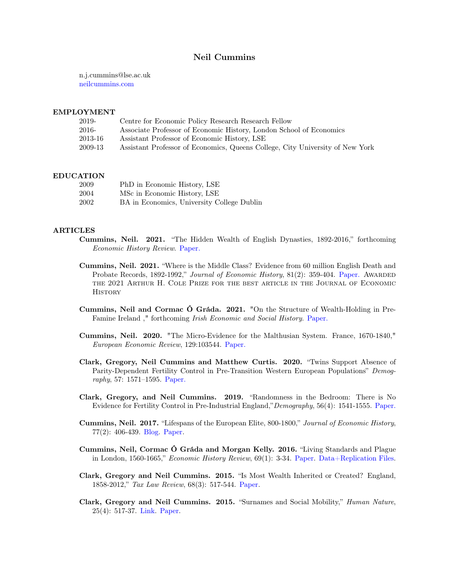# Neil Cummins

n.j.cummins@lse.ac.uk <neilcummins.com>

## EMPLOYMENT

| 2019-   | Centre for Economic Policy Research Research Fellow                           |
|---------|-------------------------------------------------------------------------------|
| 2016-   | Associate Professor of Economic History, London School of Economics           |
| 2013-16 | Assistant Professor of Economic History, LSE                                  |
| 2009-13 | Assistant Professor of Economics, Queens College, City University of New York |
|         |                                                                               |

## EDUCATION

| 2009 | PhD in Economic History, LSE               |
|------|--------------------------------------------|
| 2004 | MSc in Economic History, LSE               |
| 2002 | BA in Economics, University College Dublin |

## ARTICLES

- Cummins, Neil. 2021. "The Hidden Wealth of English Dynasties, 1892-2016," forthcoming Economic History Review. [Paper.](http://neilcummins.com/Cummins_hw_ehr.pdf)
	- Cummins, Neil. 2021. "Where is the Middle Class? Evidence from 60 million English Death and Probate Records, 1892-1992," Journal of Economic History, 81(2): 359-404. [Paper.](http://neilcummins.com/Cummins2021.pdf) AWARDED the 2021 Arthur H. Cole Prize for the best article in the Journal of Economic **HISTORY**
	- Cummins, Neil and Cormac Ó Gráda. 2021. "On the Structure of Wealth-Holding in Pre-Famine Ireland ," forthcoming Irish Economic and Social History. [Paper.](http://neilcummins.com/prefamine_wealth.pdf)
	- Cummins, Neil. 2020. "The Micro-Evidence for the Malthusian System. France, 1670-1840," European Economic Review, 129:103544. [Paper.](http://neilcummins.com/henry_malthus_final.pdf)
	- Clark, Gregory, Neil Cummins and Matthew Curtis. 2020. "Twins Support Absence of Parity-Dependent Fertility Control in Pre-Transition Western European Populations" Demography, 57: 1571–1595. [Paper.](http://neilcummins.com/twins_demogrpahy.pdf)
	- Clark, Gregory, and Neil Cummins. 2019. "Randomness in the Bedroom: There is No Evidence for Fertility Control in Pre-Industrial England,"Demography, 56(4): 1541-1555. [Paper.](http://neilcummins.com/randomF_demography.pdf)
	- Cummins, Neil. 2017. "Lifespans of the European Elite, 800-1800," Journal of Economic History, 77(2): 406-439. [Blog.](http://positivecheck.blogspot.co.uk/2014/10/lifespan-from-dark-ages-to-industrial.html) [Paper.](http://neilcummins.com/Cummins2017.pdf)
	- Cummins, Neil, Cormac Ó Gráda and Morgan Kelly. 2016. "Living Standards and Plague in London, 1560-1665," Economic History Review, 69(1): 3-34. [Paper.](http://neilcummins.com/Papers/Cummins2016.pdf) [Data+Replication Files.](http://neilcummins.com/london_data.zip)
	- Clark, Gregory and Neil Cummins. 2015. "Is Most Wealth Inherited or Created? England, 1858-2012," Tax Law Review, 68(3): 517-544. Paper.
	- Clark, Gregory and Neil Cummins. 2015. "Surnames and Social Mobility," Human Nature, 25(4): 517-37. [Link.](http://link.springer.com/article/10.1007%2Fs12110-014-9219-y#page-1) [Paper.](http://neilcummins.com/Papers/Clark_Cummins_Science_2013.pdf)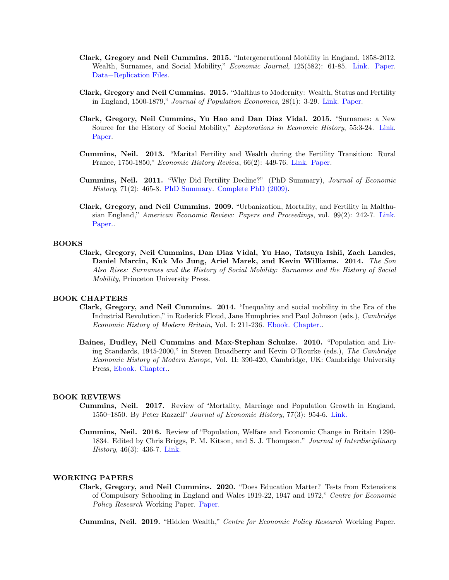- Clark, Gregory and Neil Cummins. 2015. "Intergenerational Mobility in England, 1858-2012. Wealth, Surnames, and Social Mobility," *Economic Journal*, 125(582): 61-85. [Link.](http://onlinelibrary.wiley.com/doi/10.1111/ecoj.12165/abstract) [Paper.](http://neilcummins.com/Papers/Clark_Cummins_1800-2011.pdf) [Data+Replication Files.](http://neilcummins.com/Clark_Cummins_EJ2014_Data_Replication.zip)
- Clark, Gregory and Neil Cummins. 2015. "Malthus to Modernity: Wealth, Status and Fertility in England, 1500-1879," Journal of Population Economics, 28(1): 3-29. [Link.](http://link.springer.com/article/10.1007%2Fs00148-014-0509-9) [Paper.](http://neilcummins.com/Papers/MTOM2013.pdf)
- Clark, Gregory, Neil Cummins, Yu Hao and Dan Diaz Vidal. 2015. "Surnames: a New Source for the History of Social Mobility," Explorations in Economic History, 55:3-24. [Link.](http://www.sciencedirect.com/science/article/pii/S001449831400045X) [Paper.](http://neilcummins.com/Papers/EEH 2014-1.pdf)
- Cummins, Neil. 2013. "Marital Fertility and Wealth during the Fertility Transition: Rural France, 1750-1850," Economic History Review, 66(2): 449-76. [Link.](http://onlinelibrary.wiley.com/doi/10.1111/j.1468-0289.2012.00666.x/abstract) [Paper.](http://neilcummins.com/Papers/Cummins_EHR_2012.pdf)
- Cummins, Neil. 2011. "Why Did Fertility Decline?" (PhD Summary), Journal of Economic History,  $71(2)$ : 465-8. [PhD Summary.](http://neilcummins.com/Papers/CUMMINS_JEH_2011.pdf) Complete PhD  $(2009)$ .
- Clark, Gregory, and Neil Cummins. 2009. "Urbanization, Mortality, and Fertility in Malthusian England," American Economic Review: Papers and Proceedings, vol. 99(2): 242-7. [Link.](https://www.aeaweb.org/articles.php?doi=10.1257/aer.99.2.242) [Paper..](http://neilcummins.com/Papers/AER_2009.pdf)

## BOOKS

Clark, Gregory, Neil Cummins, Dan Diaz Vidal, Yu Hao, Tatsuya Ishii, Zach Landes, Daniel Marcin, Kuk Mo Jung, Ariel Marek, and Kevin Williams. 2014. The Son Also Rises: Surnames and the History of Social Mobility: Surnames and the History of Social Mobility, Princeton University Press.

## BOOK CHAPTERS

- Clark, Gregory, and Neil Cummins. 2014. "Inequality and social mobility in the Era of the Industrial Revolution," in Roderick Floud, Jane Humphries and Paul Johnson (eds.), Cambridge Economic History of Modern Britain, Vol. I: 211-236. [Ebook.](https://play.google.com/store/books/details?id=0J_jBAAAQBAJ&rdid=book-0J_jBAAAQBAJ&rdot=1&source=gbs_vpt_read&pcampaignid=books_booksearch_viewport) [Chapter..](http://neilcummins.com/Papers/Ch7.pdf)
- Baines, Dudley, Neil Cummins and Max-Stephan Schulze. 2010. "Population and Living Standards, 1945-2000," in Steven Broadberry and Kevin O'Rourke (eds.), The Cambridge Economic History of Modern Europe, Vol. II: 390-420, Cambridge, UK: Cambridge University Press, [Ebook.](https://play.google.com/store/books/details?id=YHk0z-ujS3AC&rdid=book-YHk0z-ujS3AC&rdot=1&source=gbs_atb&pcampaignid=books_booksearch_atb) [Chapter..](http://neilcummins.com/Papers/BCS.pdf)

## BOOK REVIEWS

- Cummins, Neil. 2017. Review of "Mortality, Marriage and Population Growth in England, 1550–1850. By Peter Razzell" Journal of Economic History, 77(3): 954-6. [Link.](https://www.cambridge.org/core/journals/journal-of-economic-history/article/mortality-marriage-and-population-growth-in-england-15501850-by-peter-razzell-london-caliban-books-2016-pp-135-10-paper/99781146F35E25689F4BA156C65CF4CF#fndtn-information)
- Cummins, Neil. 2016. Review of "Population, Welfare and Economic Change in Britain 1290- 1834. Edited by Chris Briggs, P. M. Kitson, and S. J. Thompson." Journal of Interdisciplinary History, 46(3): 436-7. [Link.](https://muse.jhu.edu/article/600531/pdf)

#### WORKING PAPERS

Clark, Gregory, and Neil Cummins. 2020. "Does Education Matter? Tests from Extensions of Compulsory Schooling in England and Wales 1919-22, 1947 and 1972," Centre for Economic Policy Research Working Paper. [Paper.](http://neilcummins.com/CEPR-DP15252.pdf)

Cummins, Neil. 2019. "Hidden Wealth," Centre for Economic Policy Research Working Paper.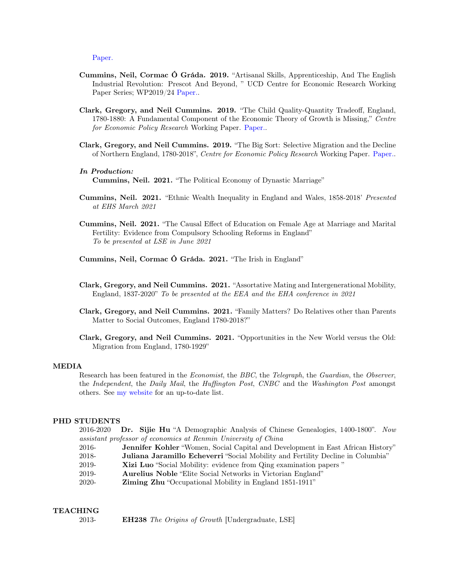[Paper.](http://neilcummins.com/hw_sep2019.pdf )

- Cummins, Neil, Cormac Ó Gráda. 2019. "Artisanal Skills, Apprenticeship, And The English Industrial Revolution: Prescot And Beyond, " UCD Centre for Economic Research Working Paper Series; WP2019/24 [Paper..](https://cepr.org/active/publications/discussion_papers/dp.php?dpno=13023)
- Clark, Gregory, and Neil Cummins. 2019. "The Child Quality-Quantity Tradeoff, England, 1780-1880: A Fundamental Component of the Economic Theory of Growth is Missing," Centre for Economic Policy Research Working Paper. [Paper..](http://cepr.org/active/publications/cite.php?Type=DP&Item=11232)
- Clark, Gregory, and Neil Cummins. 2019. "The Big Sort: Selective Migration and the Decline of Northern England, 1780-2018", Centre for Economic Policy Research Working Paper. [Paper..](https://cepr.org/active/publications/discussion_papers/dp.php?dpno=13023)

#### In Production:

Cummins, Neil. 2021. "The Political Economy of Dynastic Marriage"

- Cummins, Neil. 2021. "Ethnic Wealth Inequality in England and Wales, 1858-2018' Presented at EHS March 2021
- Cummins, Neil. 2021. "The Causal Effect of Education on Female Age at Marriage and Marital Fertility: Evidence from Compulsory Schooling Reforms in England" To be presented at LSE in June 2021

Cummins, Neil, Cormac Ó Gráda. 2021. "The Irish in England"

- Clark, Gregory, and Neil Cummins. 2021. "Assortative Mating and Intergenerational Mobility, England, 1837-2020" To be presented at the EEA and the EHA conference in 2021
- Clark, Gregory, and Neil Cummins. 2021. "Family Matters? Do Relatives other than Parents Matter to Social Outcomes, England 1780-2018?"
- Clark, Gregory, and Neil Cummins. 2021. "Opportunities in the New World versus the Old: Migration from England, 1780-1929"

## MEDIA

Research has been featured in the Economist, the BBC, the Telegraph, the Guardian, the Observer, the Independent, the Daily Mail, the Huffington Post, CNBC and the Washington Post amongst others. See [my website](http://neilcummins.com/media.html) for an up-to-date list.

## PHD STUDENTS

2016-2020 Dr. Sijie Hu "A Demographic Analysis of Chinese Genealogies, 1400-1800". Now assistant professor of economics at Renmin University of China

- 2016- Jennifer Kohler "Women, Social Capital and Development in East African History"
- 2018- Juliana Jaramillo Echeverri "Social Mobility and Fertility Decline in Columbia"
- 2019- Xizi Luo "Social Mobility: evidence from Qing examination papers "
- 2019- Aurelius Noble "Elite Social Networks in Victorian England"
- 2020- Ziming Zhu "Occupational Mobility in England 1851-1911"

## **TEACHING**

2013- **EH238** The Origins of Growth [Undergraduate, LSE]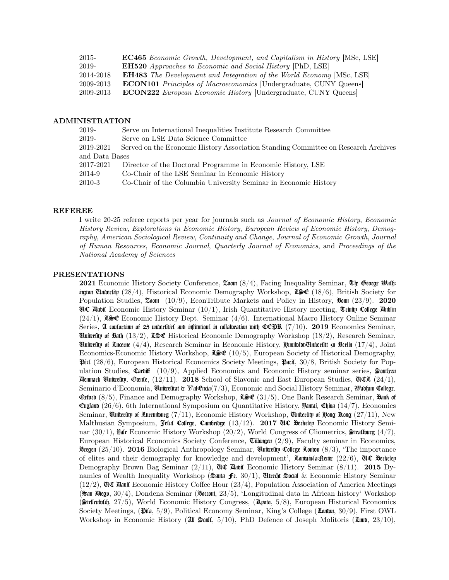| 2015-     | <b>EC465</b> Economic Growth, Development, and Capitalism in History [MSc, LSE] |
|-----------|---------------------------------------------------------------------------------|
| 2019-     | <b>EH520</b> Approaches to Economic and Social History [PhD, LSE]               |
| 2014-2018 | <b>EH483</b> The Development and Integration of the World Economy [MSc, LSE]    |
| 2009-2013 | <b>ECON101</b> Principles of Macroeconomics [Undergraduate, CUNY Queens]        |
| 2009-2013 | <b>ECON222</b> European Economic History [Undergraduate, CUNY Queens]           |

## ADMINISTRATION

| 2019-          | Serve on International Inequalities Institute Research Committee                   |  |
|----------------|------------------------------------------------------------------------------------|--|
| 2019-          | Serve on LSE Data Science Committee                                                |  |
| 2019-2021      | Served on the Economic History Association Standing Committee on Research Archives |  |
| and Data Bases |                                                                                    |  |
| 2017-2021      | Director of the Doctoral Programme in Economic History, LSE                        |  |
| 2014-9         | Co-Chair of the LSE Seminar in Economic History                                    |  |
| 2010-3         | Co-Chair of the Columbia University Seminar in Economic History                    |  |

## REFEREE

I write 20-25 referee reports per year for journals such as Journal of Economic History, Economic History Review, Explorations in Economic History, European Review of Economic History, Demography, American Sociological Review, Continuity and Change, Journal of Economic Growth, Journal of Human Resources, Economic Journal, Quarterly Journal of Economics, and Proceedings of the National Academy of Sciences

## PRESENTATIONS

2021 Economic History Society Conference,  $z$ oom  $(8/4)$ , Facing Inequality Seminar,  $\mathfrak{Tr}$  George  $\mathfrak{Pl}$ afhington University (28/4), Historical Economic Demography Workshop,  $\mathfrak{K} \otimes \mathfrak{C}$  (18/6), British Society for Population Studies,  $\mathfrak{Z}$ oom (10/9), EconTribute Markets and Policy in History,  $\mathfrak{B}$ om (23/9). 2020 GUC Babit Economic History Seminar  $(10/1)$ , Irish Quantitative History meeting, Trinity College Bublin  $(24/1)$ , Lost Economic History Dept. Seminar  $(4/6)$ . International Macro History Online Seminar Series, A confortium of 25 univertities and infitution in collaboration with CCPR (7/10). 2019 Economics Seminar, **Cuniterative of Bath** (13/2),  $\mathcal{I} \oplus \mathcal{I}$  Historical Economic Demography Workshop (18/2), Research Seminar, Uniterlity of Lucerne  $(4/4)$ , Research Seminar in Economic History, Humfoldt-Uniterlitt zu Berlin  $(17/4)$ , Joint Economics-Economic History Workshop,  $\mathcal{L} \oplus \mathcal{C}$  (10/5), European Society of Historical Demography,  $Pect (28/6)$ , European Historical Economics Society Meetings,  $Parti, 30/8$ , British Society for Population Studies, Caroffic  $(10/9)$ , Applied Economics and Economic History seminar series,  $\frac{1}{2}$ outten **Example University, Oxnic,** (12/11). 2018 School of Slavonic and East European Studies,  $\mathfrak{U}(\mathfrak{U}, \mathfrak{U})$ Seminario d'Economia, Universitat y Val Cincia(7/3), Economic and Social History Seminar, Wadhun College, Oxford  $(8/5)$ , Finance and Demography Workshop,  $\mathcal{L}(\mathcal{S})$  (31/5), One Bank Research Seminar,  $\mathcal{R}(\mathcal{S})$ Cumfano (26/6), 6th International Symposium on Quantitative History, Unitary, China (14/7), Economics Seminar, Cluiteriity of Luxembourg  $(7/11)$ , Economic History Workshop, Cluiteriity of Hong Kong  $(27/11)$ , New Malthusian Symposium, Jelul College, Cambridge  $(13/12)$ . 2017 CLC Berkeley Economic History Seminar (30/1),  $\frac{1}{2}$ ale Economic History Workshop (20/2), World Congress of Cliometrics,  $\frac{1}{2}$ trafform (4/7), European Historical Economics Society Conference,  $\overline{\mathbf{C}}$ ibingen (2/9), Faculty seminar in Economics, Bergen  $(25/10)$ . 2016 Biological Anthropology Seminar, University College Lonon  $(8/3)$ , The importance of elites and their demography for knowledge and development', Loukuinda-Leuke (22/6), UC Berkeley Demography Brown Bag Seminar  $(2/11)$ ,  $\mathbb{C}\mathbb{C}$  Davit Economic History Seminar  $(8/11)$ . 2015 Dynamics of Wealth Inequality Workshop (Santa free, 30/1), Uttercht Social & Economic History Seminar  $(12/2)$ ,  $\mathbb{Q} \mathbb{Q}$  David Economic History Coffee Hour  $(23/4)$ , Population Association of America Meetings  $(\frac{2}{3})$   $\mathbb{R}$   $\mathbb{R}$   $(30/4)$ , Dondena Seminar ( $\mathbb{R}$   $\mathbb{R}$   $(3/5)$ , 'Longitudinal data in African history' Workshop  $(\text{SetI}(\text{sub}, 27/5))$ , World Economic History Congress,  $(\text{St}(\text{sub}, 5/8))$ , European Historical Economics Society Meetings, ( $\hat{\mathfrak{P}}$ ita, 5/9), Political Economy Seminar, King's College ( $\hat{\mathfrak{L}}$ omon, 30/9), First OWL Workshop in Economic History (All  $\frac{1}{20}$ ult, 5/10), PhD Defence of Joseph Molitoris (Luno, 23/10),